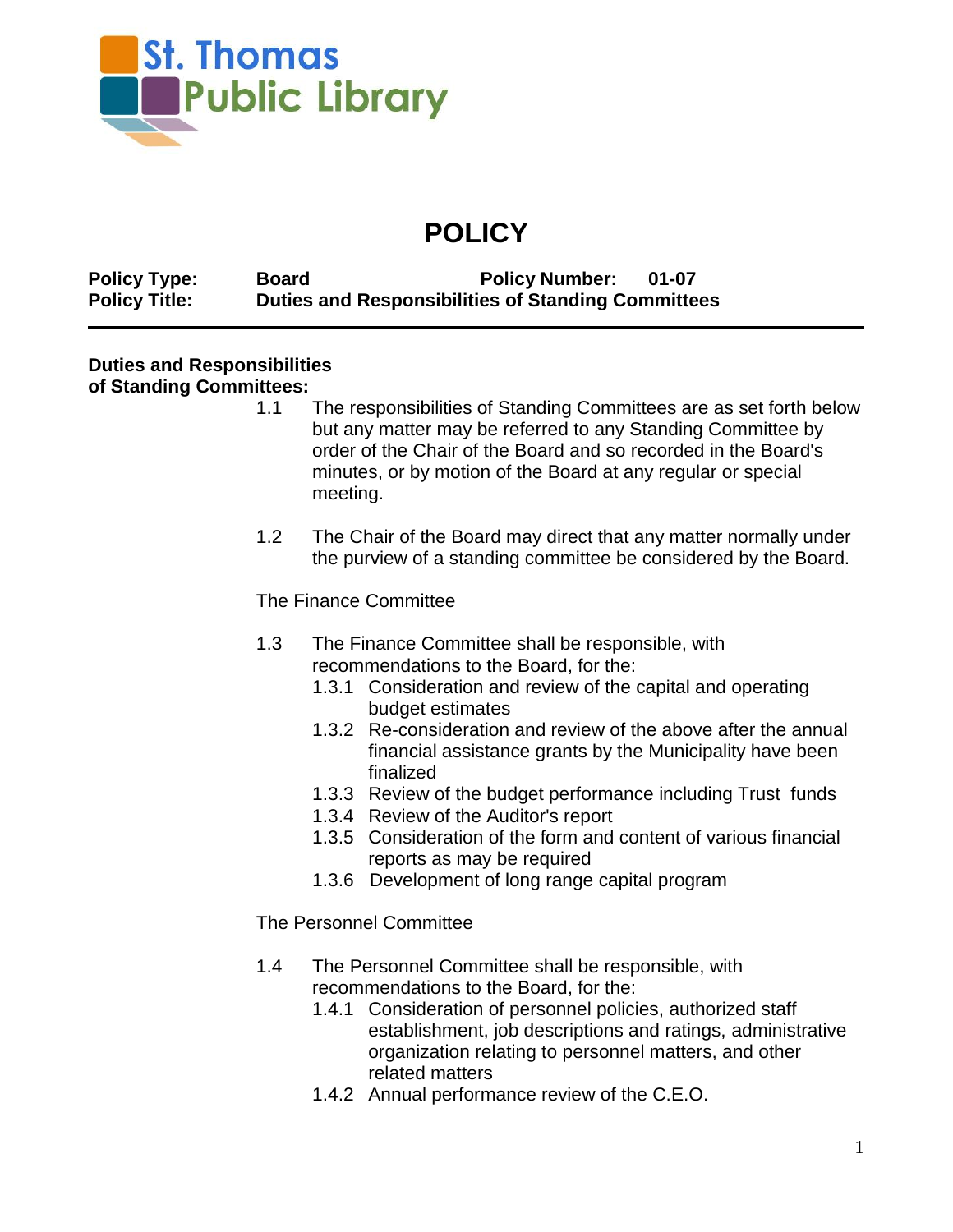

## **POLICY**

**Policy Type: Board Policy Number: 01-07 Policy Title: Duties and Responsibilities of Standing Committees**

## **Duties and Responsibilities**

## **of Standing Committees:**

- 1.1 The responsibilities of Standing Committees are as set forth below but any matter may be referred to any Standing Committee by order of the Chair of the Board and so recorded in the Board's minutes, or by motion of the Board at any regular or special meeting.
- 1.2 The Chair of the Board may direct that any matter normally under the purview of a standing committee be considered by the Board.

The Finance Committee

- 1.3 The Finance Committee shall be responsible, with recommendations to the Board, for the:
	- 1.3.1 Consideration and review of the capital and operating budget estimates
	- 1.3.2 Re-consideration and review of the above after the annual financial assistance grants by the Municipality have been finalized
	- 1.3.3 Review of the budget performance including Trust funds
	- 1.3.4 Review of the Auditor's report
	- 1.3.5 Consideration of the form and content of various financial reports as may be required
	- 1.3.6 Development of long range capital program

The Personnel Committee

- 1.4 The Personnel Committee shall be responsible, with recommendations to the Board, for the:
	- 1.4.1 Consideration of personnel policies, authorized staff establishment, job descriptions and ratings, administrative organization relating to personnel matters, and other related matters
	- 1.4.2 Annual performance review of the C.E.O.